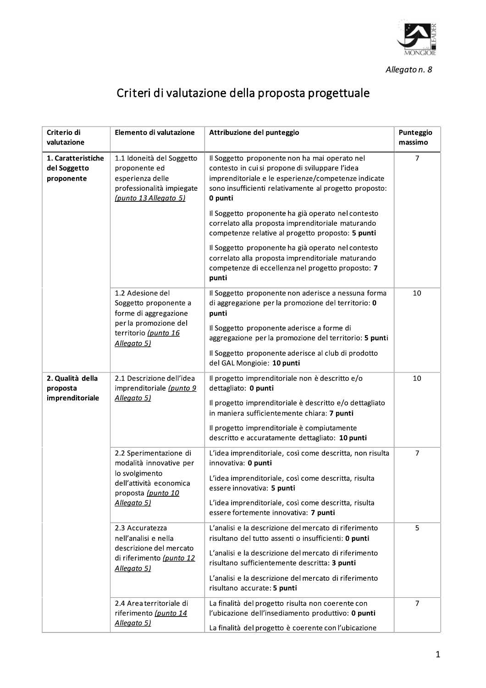

Allegato n. 8

## Criteri di valutazione della proposta progettuale

| Criterio di<br>valutazione                       | Elemento di valutazione                                                                                                                    | Attribuzione del punteggio                                                                                                                                                                                                                                                                                                                                                                                                                         | Punteggio<br>massimo |
|--------------------------------------------------|--------------------------------------------------------------------------------------------------------------------------------------------|----------------------------------------------------------------------------------------------------------------------------------------------------------------------------------------------------------------------------------------------------------------------------------------------------------------------------------------------------------------------------------------------------------------------------------------------------|----------------------|
| 1. Caratteristiche<br>del Soggetto<br>proponente | 1.1 Idoneità del Soggetto<br>proponente ed<br>esperienza delle<br>professionalità impiegate<br>(punto 13 Allegato 5)                       | Il Soggetto proponente non ha mai operato nel<br>contesto in cui si propone di sviluppare l'idea<br>imprenditoriale e le esperienze/competenze indicate<br>sono insufficienti relativamente al progetto proposto:<br>0 punti<br>Il Soggetto proponente ha già operato nel contesto<br>correlato alla proposta imprenditoriale maturando<br>competenze relative al progetto proposto: 5 punti<br>Il Soggetto proponente ha già operato nel contesto | $\overline{7}$       |
|                                                  |                                                                                                                                            | correlato alla proposta imprenditoriale maturando<br>competenze di eccellenza nel progetto proposto: 7<br>punti                                                                                                                                                                                                                                                                                                                                    |                      |
|                                                  | 1.2 Adesione del<br>Soggetto proponente a<br>forme di aggregazione                                                                         | Il Soggetto proponente non aderisce a nessuna forma<br>di aggregazione per la promozione del territorio: 0<br>punti                                                                                                                                                                                                                                                                                                                                | 10                   |
|                                                  | per la promozione del<br>territorio (punto 16<br>Allegato 5)                                                                               | Il Soggetto proponente aderisce a forme di<br>aggregazione per la promozione del territorio: 5 punti                                                                                                                                                                                                                                                                                                                                               |                      |
|                                                  |                                                                                                                                            | Il Soggetto proponente aderisce al club di prodotto<br>del GAL Mongioie: 10 punti                                                                                                                                                                                                                                                                                                                                                                  |                      |
| 2. Qualità della<br>proposta<br>imprenditoriale  | 2.1 Descrizione dell'idea<br>imprenditoriale (punto 9<br>Allegato 5)                                                                       | Il progetto imprenditoriale non è descritto e/o<br>dettagliato: 0 punti                                                                                                                                                                                                                                                                                                                                                                            | 10                   |
|                                                  |                                                                                                                                            | Il progetto imprenditoriale è descritto e/o dettagliato<br>in maniera sufficientemente chiara: 7 punti                                                                                                                                                                                                                                                                                                                                             |                      |
|                                                  |                                                                                                                                            | Il progetto imprenditoriale è compiutamente<br>descritto e accuratamente dettagliato: 10 punti                                                                                                                                                                                                                                                                                                                                                     |                      |
|                                                  | 2.2 Sperimentazione di<br>modalità innovative per<br>lo svolgimento<br>dell'attività economica<br>proposta (punto 10<br><u>Allegato 5)</u> | L'idea imprenditoriale, così come descritta, non risulta<br>innovativa: 0 punti                                                                                                                                                                                                                                                                                                                                                                    | 7                    |
|                                                  |                                                                                                                                            | L'idea imprenditoriale, così come descritta, risulta<br>essere innovativa: 5 punti                                                                                                                                                                                                                                                                                                                                                                 |                      |
|                                                  |                                                                                                                                            | L'idea imprenditoriale, così come descritta, risulta<br>essere fortemente innovativa: 7 punti                                                                                                                                                                                                                                                                                                                                                      |                      |
|                                                  | 2.3 Accuratezza<br>nell'analisi e nella<br>descrizione del mercato<br>di riferimento (punto 12<br>Allegato 5)                              | L'analisi e la descrizione del mercato di riferimento<br>risultano del tutto assenti o insufficienti: 0 punti                                                                                                                                                                                                                                                                                                                                      | 5                    |
|                                                  |                                                                                                                                            | L'analisi e la descrizione del mercato di riferimento<br>risultano sufficientemente descritta: 3 punti                                                                                                                                                                                                                                                                                                                                             |                      |
|                                                  |                                                                                                                                            | L'analisi e la descrizione del mercato di riferimento<br>risultano accurate: 5 punti                                                                                                                                                                                                                                                                                                                                                               |                      |
|                                                  | 2.4 Area territoriale di<br>riferimento (punto 14<br>Allegato 5)                                                                           | La finalità del progetto risulta non coerente con<br>l'ubicazione dell'insediamento produttivo: 0 punti<br>La finalità del progetto è coerente con l'ubicazione                                                                                                                                                                                                                                                                                    | $\overline{7}$       |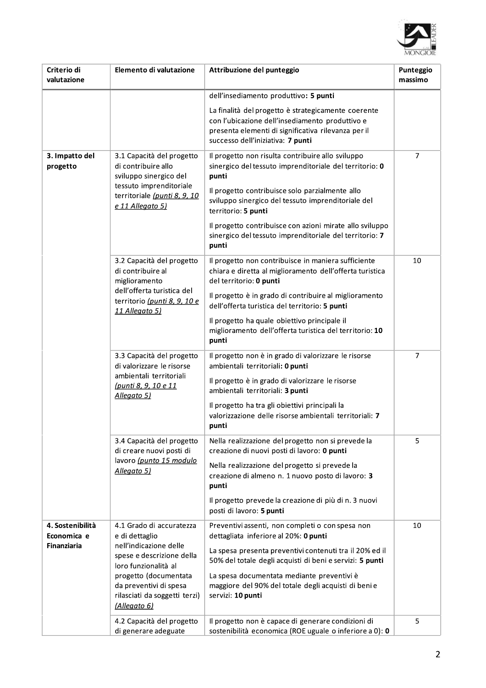

| Criterio di<br>valutazione                            | Elemento di valutazione                                                                                                                                                         | Attribuzione del punteggio                                                                                                                                                                         | Punteggio<br>massimo |
|-------------------------------------------------------|---------------------------------------------------------------------------------------------------------------------------------------------------------------------------------|----------------------------------------------------------------------------------------------------------------------------------------------------------------------------------------------------|----------------------|
|                                                       |                                                                                                                                                                                 | dell'insediamento produttivo: 5 punti                                                                                                                                                              |                      |
|                                                       |                                                                                                                                                                                 | La finalità del progetto è strategicamente coerente<br>con l'ubicazione dell'insediamento produttivo e<br>presenta elementi di significativa rilevanza per il<br>successo dell'iniziativa: 7 punti |                      |
| 3. Impatto del<br>progetto                            | 3.1 Capacità del progetto<br>di contribuire allo<br>sviluppo sinergico del<br>tessuto imprenditoriale                                                                           | Il progetto non risulta contribuire allo sviluppo<br>sinergico del tessuto imprenditoriale del territorio: 0<br>punti                                                                              | 7                    |
|                                                       | territoriale (punti 8, 9, 10<br>e 11 Allegato 5)                                                                                                                                | Il progetto contribuisce solo parzialmente allo<br>sviluppo sinergico del tessuto imprenditoriale del<br>territorio: 5 punti                                                                       |                      |
|                                                       |                                                                                                                                                                                 | Il progetto contribuisce con azioni mirate allo sviluppo<br>sinergico del tessuto imprenditoriale del territorio: 7<br>punti                                                                       |                      |
|                                                       | 3.2 Capacità del progetto<br>di contribuire al<br>miglioramento                                                                                                                 | Il progetto non contribuisce in maniera sufficiente<br>chiara e diretta al miglioramento dell'offerta turistica<br>del territorio: 0 punti                                                         | 10                   |
|                                                       | dell'offerta turistica del<br>territorio (punti 8, 9, 10 e<br>11 Allegato 5)                                                                                                    | Il progetto è in grado di contribuire al miglioramento<br>dell'offerta turistica del territorio: 5 punti                                                                                           |                      |
|                                                       |                                                                                                                                                                                 | Il progetto ha quale obiettivo principale il<br>miglioramento dell'offerta turistica del territorio: 10<br>punti                                                                                   |                      |
|                                                       | 3.3 Capacità del progetto<br>di valorizzare le risorse<br>ambientali territoriali<br>(punti 8, 9, 10 e 11<br>Allegato 5)                                                        | Il progetto non è in grado di valorizzare le risorse<br>ambientali territoriali: 0 punti                                                                                                           | 7                    |
|                                                       |                                                                                                                                                                                 | Il progetto è in grado di valorizzare le risorse<br>ambientali territoriali: 3 punti                                                                                                               |                      |
|                                                       |                                                                                                                                                                                 | Il progetto ha tra gli obiettivi principali la<br>valorizzazione delle risorse ambientali territoriali: 7<br>punti                                                                                 |                      |
|                                                       | 3.4 Capacità del progetto<br>di creare nuovi posti di<br>lavoro (punto 15 modulo<br>Allegato 5)                                                                                 | Nella realizzazione del progetto non si prevede la<br>creazione di nuovi posti di lavoro: 0 punti                                                                                                  | 5                    |
|                                                       |                                                                                                                                                                                 | Nella realizzazione del progetto si prevede la<br>creazione di almeno n. 1 nuovo posto di lavoro: 3<br>punti                                                                                       |                      |
|                                                       |                                                                                                                                                                                 | Il progetto prevede la creazione di più di n. 3 nuovi<br>posti di lavoro: 5 punti                                                                                                                  |                      |
| 4. Sostenibilità<br>Economica e<br><b>Finanziaria</b> | 4.1 Grado di accuratezza<br>e di dettaglio                                                                                                                                      | Preventivi assenti, non completi o con spesa non<br>dettagliata inferiore al 20%: 0 punti                                                                                                          | 10                   |
|                                                       | nell'indicazione delle<br>spese e descrizione della<br>loro funzionalità al<br>progetto (documentata<br>da preventivi di spesa<br>rilasciati da soggetti terzi)<br>(Allegato 6) | La spesa presenta preventivi contenuti tra il 20% ed il<br>50% del totale degli acquisti di beni e servizi: 5 punti                                                                                |                      |
|                                                       |                                                                                                                                                                                 | La spesa documentata mediante preventivi è<br>maggiore del 90% del totale degli acquisti di beni e<br>servizi: 10 punti                                                                            |                      |
|                                                       | 4.2 Capacità del progetto<br>di generare adeguate                                                                                                                               | Il progetto non è capace di generare condizioni di<br>sostenibilità economica (ROE uguale o inferiore a 0): 0                                                                                      | 5                    |